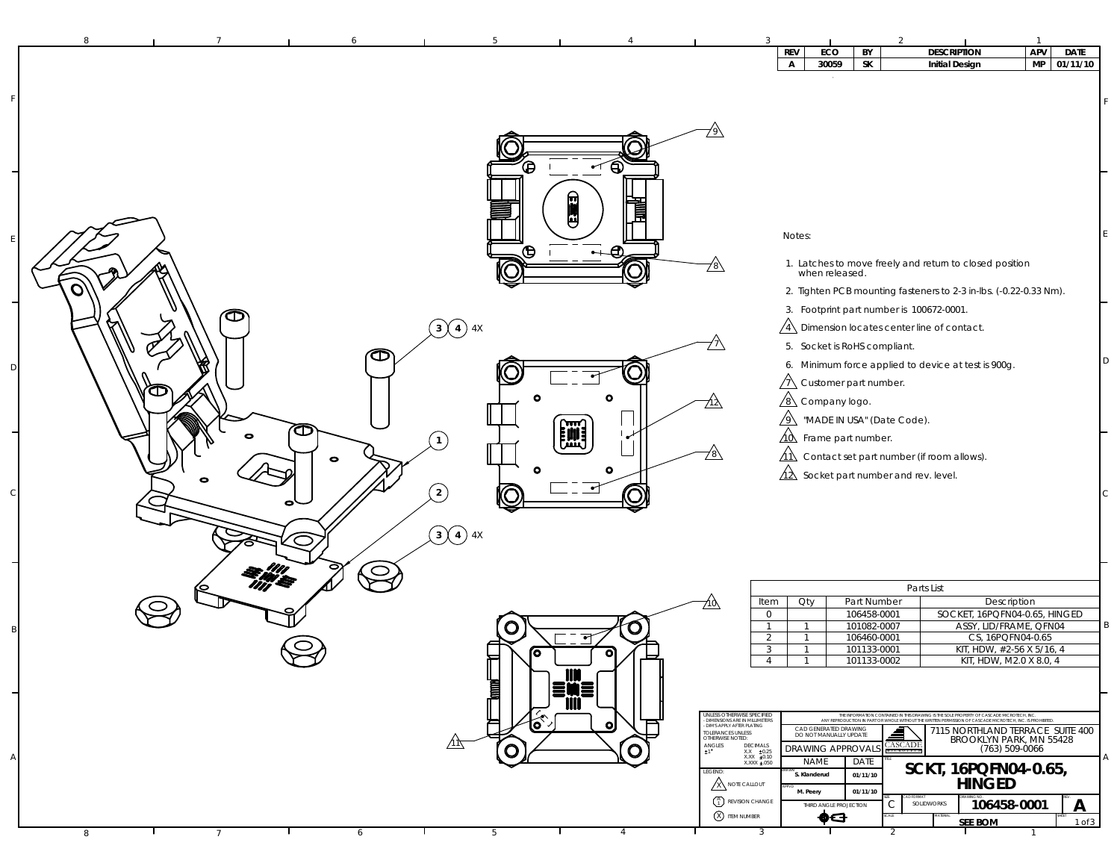|                                                  |                                                                                                                                                                                               | APV<br><b>REV</b><br>ECO<br><b>DESCRIPTION</b><br><b>DATE</b><br>BY<br>30059<br>SK<br>MP 01/11/10<br>$\mathsf{A}$<br><b>Initial Design</b>                                                                                                                                                                                                                                                                                                                                                                                                                         |
|--------------------------------------------------|-----------------------------------------------------------------------------------------------------------------------------------------------------------------------------------------------|--------------------------------------------------------------------------------------------------------------------------------------------------------------------------------------------------------------------------------------------------------------------------------------------------------------------------------------------------------------------------------------------------------------------------------------------------------------------------------------------------------------------------------------------------------------------|
|                                                  | Θ<br>Θ<br>谓<br>Θ                                                                                                                                                                              | Notes:                                                                                                                                                                                                                                                                                                                                                                                                                                                                                                                                                             |
| E<br>O<br>☎<br>本                                 | $\overline{\phantom{a}}$<br><u>78\</u><br>$\bigodot$ 4X                                                                                                                                       | 1. Latches to move freely and return to closed position<br>when released.<br>2. Tighten PCB mounting fasteners to 2-3 in-lbs. (-0.22-0.33 Nm).<br>3. Footprint part number is 100672-0001.<br>$\sqrt{4}$ Dimension locates center line of contact.<br>5. Socket is RoHS compliant.                                                                                                                                                                                                                                                                                 |
| $\mathsf{D}$<br>☎<br>⅏<br>$\bullet$<br>$\bullet$ | ο<br>12<br><b>END</b><br>$\mathbf{1}$<br>78\                                                                                                                                                  | 6. Minimum force applied to device at test is 900g.<br>$\sqrt{2}$ Customer part number.<br>$\sqrt{8}$ Company logo.<br>MADE IN USA" (Date Code).<br>$\overrightarrow{10}$ Frame part number.<br>$\overrightarrow{11}$ Contact set part number (if room allows).<br>$\sqrt{\underline{\Lambda}}$ Socket part number and rev. level.                                                                                                                                                                                                                                 |
| O<br>$\bigcirc$                                  | $\overline{2}$<br>$3(4)$ 4X<br>⊅ά                                                                                                                                                             | Parts List<br>Part Number<br>Description<br>Item<br>Qty<br>$\mathbf{0}$                                                                                                                                                                                                                                                                                                                                                                                                                                                                                            |
| B                                                | Ó<br>O<br>ſo<br>O<br>III<br>ì<br>JU<br>UNLESS OTHERWISE SPECIFIED<br>- DIMENSIONS ARE IN MILLIMETERS<br>- DIMENSIONS ARE IN MILLIMETERS<br>$\bullet$<br>TOLERANCES UNLESS<br>OTHERWISE NOTED: | SOCKET, 16PQFN04-0.65, HINGED<br>106458-0001<br>ASSY, LID/FRAME, QFN04<br>$\overline{1}$<br>101082-0007<br>CS, 16PQFN04-0.65<br>106460-0001<br>2<br>101133-0001<br>KIT, HDW, #2-56 X 5/16, 4<br>3<br>KIT, HDW, M2.0 X 8.0, 4<br>101133-0002<br>$\overline{4}$<br>THE INFORMATION CONTAINED IN THIS DRAWING IS THE SOLE PROPERTY OF CASCADE MICROTECH, INC.<br>ANY REPRODUCTION IN PART OR WHOLE WITHOUT THE WRITTEN PERMISSION OF CASCADE MICROTECH, INC. IS PROHIBITE<br>CAD GENERATED DRAWING<br>7115 NORTHLAND TERRACE SUITE 400<br>4<br>DO NOT MANUALLY UPDATE |
| $\mathsf{A}$<br>6<br>8<br>$\overline{7}$         | $ANGLES$<br>$\pm 1$<br>$\mathbf O$<br>DECIMALS<br>O<br>LEGEND:<br>X NOTE CALLOUT<br>$\binom{A}{1}$ REVISION CHANGE<br>X ITEM NUMBER<br>$\overline{4}$<br>-5                                   | BROOKLYN PARK, MN 55428<br><b>CASCADE</b><br><b>DRAWING APPROVALS</b><br>$(763) 509 - 0066$<br>$\begin{array}{cc} \text{XXX} & \pm 0.25 \\ \text{XXX} & \pm 0.10 \\ \text{XXX} & \pm .050 \end{array}$<br><b>NAME</b><br>DATE<br>SCKT, 16PQFN04-0.65,<br>S. Klanderud<br>01/11/10<br><b>HINGED</b><br>01/11/10<br>M. Peery<br>106458-0001<br>$\mathsf{C}$<br>SOLIDWORKS<br>A<br>THIRD ANGLE PROJECTION<br>03<br><b>SEE BOM</b><br>$1$ of $3$<br>3                                                                                                                  |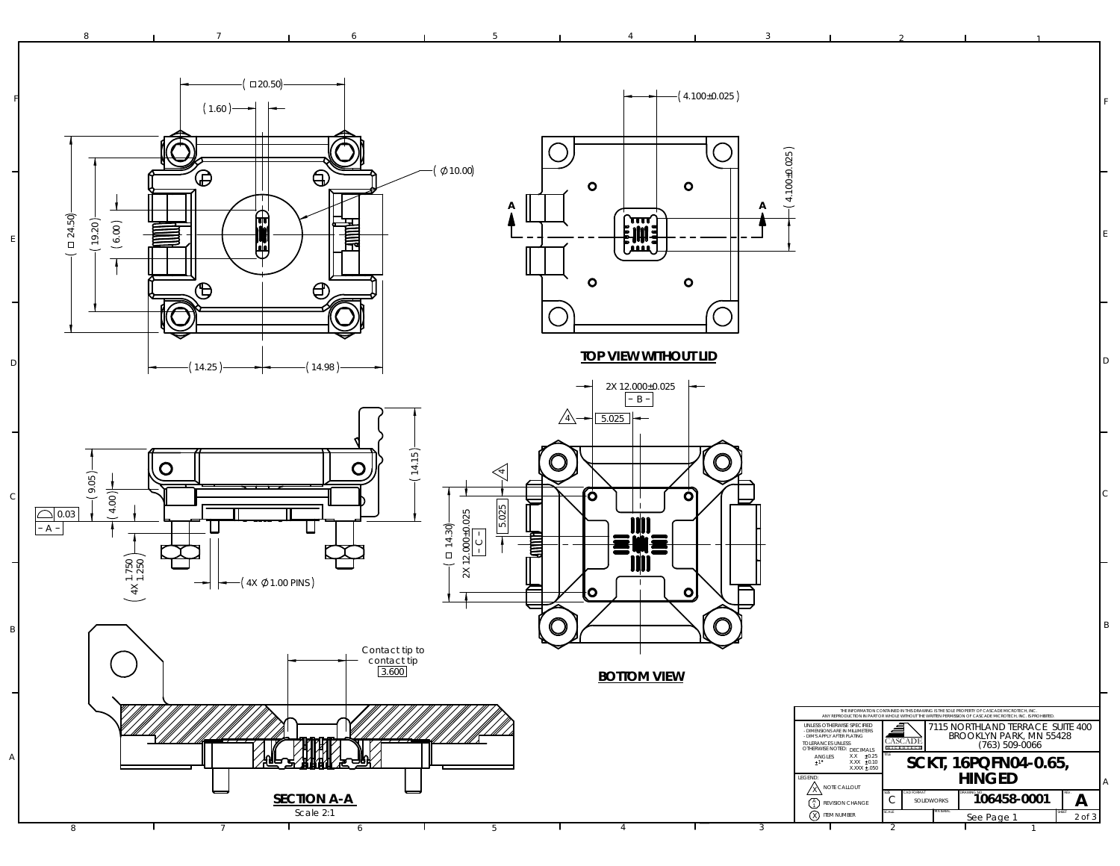